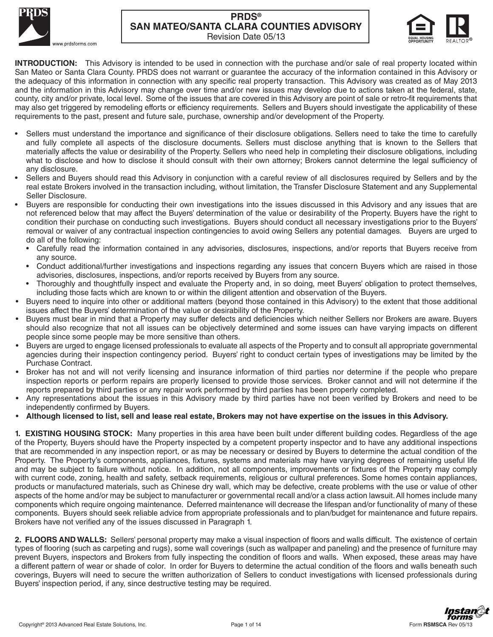



**INTRODUCTION:** This Advisory is intended to be used in connection with the purchase and/or sale of real property located within San Mateo or Santa Clara County. PRDS does not warrant or guarantee the accuracy of the information contained in this Advisory or the adequacy of this information in connection with any specific real property transaction. This Advisory was created as of May 2013 and the information in this Advisory may change over time and/or new issues may develop due to actions taken at the federal, state, county, city and/or private, local level. Some of the issues that are covered in this Advisory are point of sale or retro-fit requirements that may also get triggered by remodeling efforts or efficiency requirements. Sellers and Buyers should investigate the applicability of these requirements to the past, present and future sale, purchase, ownership and/or development of the Property.

- Sellers must understand the importance and significance of their disclosure obligations. Sellers need to take the time to carefully and fully complete all aspects of the disclosure documents. Sellers must disclose anything that is known to the Sellers that materially affects the value or desirability of the Property. Sellers who need help in completing their disclosure obligations, including what to disclose and how to disclose it should consult with their own attorney; Brokers cannot determine the legal sufficiency of any disclosure.
- Sellers and Buyers should read this Advisory in conjunction with a careful review of all disclosures required by Sellers and by the real estate Brokers involved in the transaction including, without limitation, the Transfer Disclosure Statement and any Supplemental Seller Disclosure.
- Buyers are responsible for conducting their own investigations into the issues discussed in this Advisory and any issues that are not referenced below that may affect the Buyers' determination of the value or desirability of the Property. Buyers have the right to condition their purchase on conducting such investigations. Buyers should conduct all necessary investigations prior to the Buyers' removal or waiver of any contractual inspection contingencies to avoid owing Sellers any potential damages. Buyers are urged to do all of the following:
	- Carefully read the information contained in any advisories, disclosures, inspections, and/or reports that Buyers receive from any source.
	- Conduct additional/further investigations and inspections regarding any issues that concern Buyers which are raised in those advisories, disclosures, inspections, and/or reports received by Buyers from any source.
	- Thoroughly and thoughtfully inspect and evaluate the Property and, in so doing, meet Buyers' obligation to protect themselves, including those facts which are known to or within the diligent attention and observation of the Buyers.
- Buyers need to inquire into other or additional matters (beyond those contained in this Advisory) to the extent that those additional issues affect the Buyers' determination of the value or desirability of the Property.
- Buyers must bear in mind that a Property may suffer defects and deficiencies which neither Sellers nor Brokers are aware. Buyers should also recognize that not all issues can be objectively determined and some issues can have varying impacts on different people since some people may be more sensitive than others.
- Buyers are urged to engage licensed professionals to evaluate all aspects of the Property and to consult all appropriate governmental agencies during their inspection contingency period. Buyers' right to conduct certain types of investigations may be limited by the Purchase Contract.
- Broker has not and will not verify licensing and insurance information of third parties nor determine if the people who prepare inspection reports or perform repairs are properly licensed to provide those services. Broker cannot and will not determine if the reports prepared by third parties or any repair work performed by third parties has been properly completed.
- Any representations about the issues in this Advisory made by third parties have not been verified by Brokers and need to be independently confirmed by Buyers.
- r **Although licensed to list, sell and lease real estate, Brokers may not have expertise on the issues in this Advisory.**

**1. EXISTING HOUSING STOCK:** Many properties in this area have been built under different building codes. Regardless of the age of the Property, Buyers should have the Property inspected by a competent property inspector and to have any additional inspections that are recommended in any inspection report, or as may be necessary or desired by Buyers to determine the actual condition of the Property. The Property's components, appliances, fixtures, systems and materials may have varying degrees of remaining useful life and may be subject to failure without notice. In addition, not all components, improvements or fixtures of the Property may comply with current code, zoning, health and safety, setback requirements, religious or cultural preferences. Some homes contain appliances, products or manufactured materials, such as Chinese dry wall, which may be defective, create problems with the use or value of other aspects of the home and/or may be subject to manufacturer or governmental recall and/or a class action lawsuit. All homes include many components which require ongoing maintenance. Deferred maintenance will decrease the lifespan and/or functionality of many of these components. Buyers should seek reliable advice from appropriate professionals and to plan/budget for maintenance and future repairs. Brokers have not verified any of the issues discussed in Paragraph 1.

2. FLOORS AND WALLS: Sellers' personal property may make a visual inspection of floors and walls difficult. The existence of certain types of flooring (such as carpeting and rugs), some wall coverings (such as wallpaper and paneling) and the presence of furniture may prevent Buyers, inspectors and Brokers from fully inspecting the condition of floors and walls. When exposed, these areas may have a different pattern of wear or shade of color. In order for Buyers to determine the actual condition of the floors and walls beneath such coverings, Buyers will need to secure the written authorization of Sellers to conduct investigations with licensed professionals during Buyers' inspection period, if any, since destructive testing may be required.

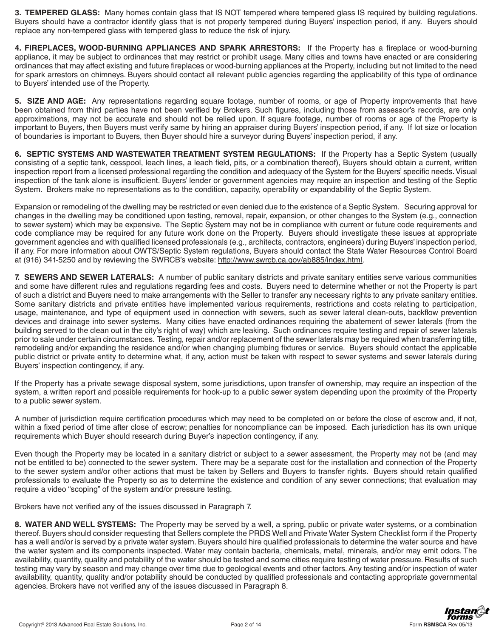3. TEMPERED GLASS: Many homes contain glass that IS NOT tempered where tempered glass IS required by building regulations. Buyers should have a contractor identify glass that is not properly tempered during Buyers' inspection period, if any. Buyers should replace any non-tempered glass with tempered glass to reduce the risk of injury.

4. FIREPLACES, WOOD-BURNING APPLIANCES AND SPARK ARRESTORS: If the Property has a fireplace or wood-burning appliance, it may be subject to ordinances that may restrict or prohibit usage. Many cities and towns have enacted or are considering ordinances that may affect existing and future fireplaces or wood-burning appliances at the Property, including but not limited to the need for spark arrestors on chimneys. Buyers should contact all relevant public agencies regarding the applicability of this type of ordinance to Buyers' intended use of the Property.

5. SIZE AND AGE: Any representations regarding square footage, number of rooms, or age of Property improvements that have been obtained from third parties have not been verified by Brokers. Such figures, including those from assessor's records, are only approximations, may not be accurate and should not be relied upon. If square footage, number of rooms or age of the Property is important to Buyers, then Buyers must verify same by hiring an appraiser during Buyers' inspection period, if any. If lot size or location of boundaries is important to Buyers, then Buyer should hire a surveyor during Buyers' inspection period, if any.

6. SEPTIC SYSTEMS AND WASTEWATER TREATMENT SYSTEM REGULATIONS: If the Property has a Septic System (usually consisting of a septic tank, cesspool, leach lines, a leach field, pits, or a combination thereof), Buyers should obtain a current, written inspection report from a licensed professional regarding the condition and adequacy of the System for the Buyers' specific needs. Visual inspection of the tank alone is insufficient. Buyers' lender or government agencies may require an inspection and testing of the Septic System. Brokers make no representations as to the condition, capacity, operability or expandability of the Septic System.

Expansion or remodeling of the dwelling may be restricted or even denied due to the existence of a Septic System. Securing approval for changes in the dwelling may be conditioned upon testing, removal, repair, expansion, or other changes to the System (e.g., connection to sewer system) which may be expensive. The Septic System may not be in compliance with current or future code requirements and code compliance may be required for any future work done on the Property. Buyers should investigate these issues at appropriate government agencies and with qualified licensed professionals (e.g., architects, contractors, engineers) during Buyers' inspection period, if any. For more information about OWTS/Septic System regulations, Buyers should contact the State Water Resources Control Board at (916) 341-5250 and by reviewing the SWRCB's website: http://www.swrcb.ca.gov/ab885/index.html.

7. SEWERS AND SEWER LATERALS: A number of public sanitary districts and private sanitary entities serve various communities and some have different rules and regulations regarding fees and costs. Buyers need to determine whether or not the Property is part of such a district and Buyers need to make arrangements with the Seller to transfer any necessary rights to any private sanitary entities. Some sanitary districts and private entities have implemented various requirements, restrictions and costs relating to participation, usage, maintenance, and type of equipment used in connection with sewers, such as sewer lateral clean-outs, backflow prevention devices and drainage into sewer systems. Many cities have enacted ordinances requiring the abatement of sewer laterals (from the building served to the clean out in the city's right of way) which are leaking. Such ordinances require testing and repair of sewer laterals prior to sale under certain circumstances. Testing, repair and/or replacement of the sewer laterals may be required when transferring title, remodeling and/or expanding the residence and/or when changing plumbing fixtures or service. Buyers should contact the applicable public district or private entity to determine what, if any, action must be taken with respect to sewer systems and sewer laterals during Buyers' inspection contingency, if any.

If the Property has a private sewage disposal system, some jurisdictions, upon transfer of ownership, may require an inspection of the system, a written report and possible requirements for hook-up to a public sewer system depending upon the proximity of the Property to a public sewer system.

A number of jurisdiction require certification procedures which may need to be completed on or before the close of escrow and, if not, within a fixed period of time after close of escrow; penalties for noncompliance can be imposed. Each jurisdiction has its own unique requirements which Buyer should research during Buyer's inspection contingency, if any.

Even though the Property may be located in a sanitary district or subject to a sewer assessment, the Property may not be (and may not be entitled to be) connected to the sewer system. There may be a separate cost for the installation and connection of the Property to the sewer system and/or other actions that must be taken by Sellers and Buyers to transfer rights. Buyers should retain qualified professionals to evaluate the Property so as to determine the existence and condition of any sewer connections; that evaluation may require a video "scoping" of the system and/or pressure testing.

Brokers have not verified any of the issues discussed in Paragraph 7.

8. WATER AND WELL SYSTEMS: The Property may be served by a well, a spring, public or private water systems, or a combination thereof. Buyers should consider requesting that Sellers complete the PRDS Well and Private Water System Checklist form if the Property has a well and/or is served by a private water system. Buyers should hire qualified professionals to determine the water source and have the water system and its components inspected. Water may contain bacteria, chemicals, metal, minerals, and/or may emit odors. The availability, quantity, quality and potability of the water should be tested and some cities require testing of water pressure. Results of such testing may vary by season and may change over time due to geological events and other factors. Any testing and/or inspection of water availability, quantity, quality and/or potability should be conducted by qualified professionals and contacting appropriate governmental agencies. Brokers have not verified any of the issues discussed in Paragraph 8.

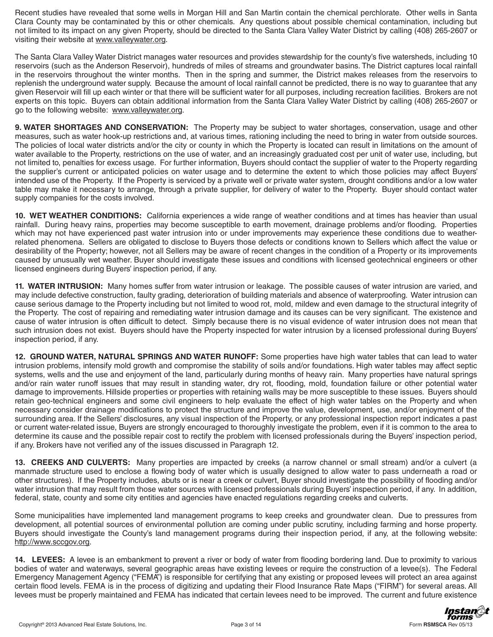Recent studies have revealed that some wells in Morgan Hill and San Martin contain the chemical perchlorate. Other wells in Santa Clara County may be contaminated by this or other chemicals. Any questions about possible chemical contamination, including but not limited to its impact on any given Property, should be directed to the Santa Clara Valley Water District by calling (408) 265-2607 or visiting their website at www.valleywater.org.

The Santa Clara Valley Water District manages water resources and provides stewardship for the county's five watersheds, including 10 reservoirs (such as the Anderson Reservoir), hundreds of miles of streams and groundwater basins. The District captures local rainfall in the reservoirs throughout the winter months. Then in the spring and summer, the District makes releases from the reservoirs to replenish the underground water supply. Because the amount of local rainfall cannot be predicted, there is no way to guarantee that any given Reservoir will fill up each winter or that there will be sufficient water for all purposes, including recreation facilities. Brokers are not experts on this topic. Buyers can obtain additional information from the Santa Clara Valley Water District by calling (408) 265-2607 or go to the following website: www.valleywater.org.

9. WATER SHORTAGES AND CONSERVATION: The Property may be subject to water shortages, conservation, usage and other measures, such as water hook-up restrictions and, at various times, rationing including the need to bring in water from outside sources. The policies of local water districts and/or the city or county in which the Property is located can result in limitations on the amount of water available to the Property, restrictions on the use of water, and an increasingly graduated cost per unit of water use, including, but not limited to, penalties for excess usage. For further information, Buyers should contact the supplier of water to the Property regarding the supplier's current or anticipated policies on water usage and to determine the extent to which those policies may affect Buyers' intended use of the Property. If the Property is serviced by a private well or private water system, drought conditions and/or a low water table may make it necessary to arrange, through a private supplier, for delivery of water to the Property. Buyer should contact water supply companies for the costs involved.

**10. WET WEATHER CONDITIONS:** California experiences a wide range of weather conditions and at times has heavier than usual rainfall. During heavy rains, properties may become susceptible to earth movement, drainage problems and/or flooding. Properties which may not have experienced past water intrusion into or under improvements may experience these conditions due to weatherrelated phenomena. Sellers are obligated to disclose to Buyers those defects or conditions known to Sellers which affect the value or desirability of the Property; however, not all Sellers may be aware of recent changes in the condition of a Property or its improvements caused by unusually wet weather. Buyer should investigate these issues and conditions with licensed geotechnical engineers or other licensed engineers during Buyers' inspection period, if any.

**11. WATER INTRUSION:** Many homes suffer from water intrusion or leakage. The possible causes of water intrusion are varied, and may include defective construction, faulty grading, deterioration of building materials and absence of waterproofing. Water intrusion can cause serious damage to the Property including but not limited to wood rot, mold, mildew and even damage to the structural integrity of the Property. The cost of repairing and remediating water intrusion damage and its causes can be very significant. The existence and cause of water intrusion is often difficult to detect. Simply because there is no visual evidence of water intrusion does not mean that such intrusion does not exist. Buyers should have the Property inspected for water intrusion by a licensed professional during Buyers' inspection period, if any.

**12. GROUND WATER, NATURAL SPRINGS AND WATER RUNOFF:** Some properties have high water tables that can lead to water intrusion problems, intensify mold growth and compromise the stability of soils and/or foundations. High water tables may affect septic systems, wells and the use and enjoyment of the land, particularly during months of heavy rain. Many properties have natural springs and/or rain water runoff issues that may result in standing water, dry rot, flooding, mold, foundation failure or other potential water damage to improvements. Hillside properties or properties with retaining walls may be more susceptible to these issues. Buyers should retain geo-technical engineers and some civil engineers to help evaluate the effect of high water tables on the Property and when necessary consider drainage modifications to protect the structure and improve the value, development, use, and/or enjoyment of the surrounding area. If the Sellers' disclosures, any visual inspection of the Property, or any professional inspection report indicates a past or current water-related issue, Buyers are strongly encouraged to thoroughly investigate the problem, even if it is common to the area to determine its cause and the possible repair cost to rectify the problem with licensed professionals during the Buyers' inspection period, if any. Brokers have not verified any of the issues discussed in Paragraph 12.

13. CREEKS AND CULVERTS: Many properties are impacted by creeks (a narrow channel or small stream) and/or a culvert (a manmade structure used to enclose a flowing body of water which is usually designed to allow water to pass underneath a road or other structures). If the Property includes, abuts or is near a creek or culvert, Buyer should investigate the possibility of flooding and/or water intrusion that may result from those water sources with licensed professionals during Buyers' inspection period, if any. In addition, federal, state, county and some city entities and agencies have enacted regulations regarding creeks and culverts.

Some municipalities have implemented land management programs to keep creeks and groundwater clean. Due to pressures from development, all potential sources of environmental pollution are coming under public scrutiny, including farming and horse property. Buyers should investigate the County's land management programs during their inspection period, if any, at the following website: http://www.sccgov.org.

**14. LEVEES:** A levee is an embankment to prevent a river or body of water from flooding bordering land. Due to proximity to various bodies of water and waterways, several geographic areas have existing levees or require the construction of a levee(s). The Federal Emergency Management Agency ("FEMA") is responsible for certifying that any existing or proposed levees will protect an area against certain flood levels. FEMA is in the process of digitizing and updating their Flood Insurance Rate Maps ("FIRM") for several areas. All levees must be properly maintained and FEMA has indicated that certain levees need to be improved. The current and future existence

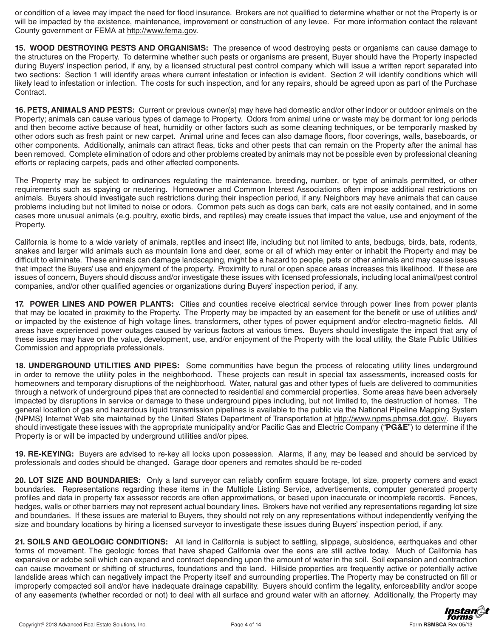or condition of a levee may impact the need for flood insurance. Brokers are not qualified to determine whether or not the Property is or will be impacted by the existence, maintenance, improvement or construction of any levee. For more information contact the relevant County government or FEMA at http://www.fema.gov.

**15. WOOD DESTROYING PESTS AND ORGANISMS:** The presence of wood destroying pests or organisms can cause damage to the structures on the Property. To determine whether such pests or organisms are present, Buyer should have the Property inspected during Buyers' inspection period, if any, by a licensed structural pest control company which will issue a written report separated into two sections: Section 1 will identify areas where current infestation or infection is evident. Section 2 will identify conditions which will likely lead to infestation or infection. The costs for such inspection, and for any repairs, should be agreed upon as part of the Purchase Contract.

**16. PETS, ANIMALS AND PESTS:** Current or previous owner(s) may have had domestic and/or other indoor or outdoor animals on the Property; animals can cause various types of damage to Property. Odors from animal urine or waste may be dormant for long periods and then become active because of heat, humidity or other factors such as some cleaning techniques, or be temporarily masked by other odors such as fresh paint or new carpet. Animal urine and feces can also damage floors, floor coverings, walls, baseboards, or other components. Additionally, animals can attract fleas, ticks and other pests that can remain on the Property after the animal has been removed. Complete elimination of odors and other problems created by animals may not be possible even by professional cleaning efforts or replacing carpets, pads and other affected components.

The Property may be subject to ordinances regulating the maintenance, breeding, number, or type of animals permitted, or other requirements such as spaying or neutering. Homeowner and Common Interest Associations often impose additional restrictions on animals. Buyers should investigate such restrictions during their inspection period, if any. Neighbors may have animals that can cause problems including but not limited to noise or odors. Common pets such as dogs can bark, cats are not easily contained, and in some cases more unusual animals (e.g. poultry, exotic birds, and reptiles) may create issues that impact the value, use and enjoyment of the Property.

California is home to a wide variety of animals, reptiles and insect life, including but not limited to ants, bedbugs, birds, bats, rodents, snakes and larger wild animals such as mountain lions and deer, some or all of which may enter or inhabit the Property and may be difficult to eliminate. These animals can damage landscaping, might be a hazard to people, pets or other animals and may cause issues that impact the Buyers' use and enjoyment of the property. Proximity to rural or open space areas increases this likelihood. If these are issues of concern, Buyers should discuss and/or investigate these issues with licensed professionals, including local animal/pest control companies, and/or other qualified agencies or organizations during Buyers' inspection period, if any.

**17. POWER LINES AND POWER PLANTS:** Cities and counties receive electrical service through power lines from power plants that may be located in proximity to the Property. The Property may be impacted by an easement for the benefit or use of utilities and/ or impacted by the existence of high voltage lines, transformers, other types of power equipment and/or electro-magnetic fields. All areas have experienced power outages caused by various factors at various times. Buyers should investigate the impact that any of these issues may have on the value, development, use, and/or enjoyment of the Property with the local utility, the State Public Utilities Commission and appropriate professionals.

**18. UNDERGROUND UTILITIES AND PIPES:** Some communities have begun the process of relocating utility lines underground in order to remove the utility poles in the neighborhood. These projects can result in special tax assessments, increased costs for homeowners and temporary disruptions of the neighborhood. Water, natural gas and other types of fuels are delivered to communities through a network of underground pipes that are connected to residential and commercial properties. Some areas have been adversely impacted by disruptions in service or damage to these underground pipes including, but not limited to, the destruction of homes. The general location of gas and hazardous liquid transmission pipelines is available to the public via the National Pipeline Mapping System (NPMS) Internet Web site maintained by the United States Department of Transportation at http://www.npms.phmsa.dot.gov/. Buyers should investigate these issues with the appropriate municipality and/or Pacific Gas and Electric Company ("PG&E") to determine if the Property is or will be impacted by underground utilities and/or pipes.

**19. RE-KEYING:** Buyers are advised to re-key all locks upon possession. Alarms, if any, may be leased and should be serviced by professionals and codes should be changed. Garage door openers and remotes should be re-coded

20. LOT SIZE AND BOUNDARIES: Only a land surveyor can reliably confirm square footage, lot size, property corners and exact boundaries. Representations regarding these items in the Multiple Listing Service, advertisements, computer generated property profiles and data in property tax assessor records are often approximations, or based upon inaccurate or incomplete records. Fences, hedges, walls or other barriers may not represent actual boundary lines. Brokers have not verified any representations regarding lot size and boundaries. If these issues are material to Buyers, they should not rely on any representations without independently verifying the size and boundary locations by hiring a licensed surveyor to investigate these issues during Buyers' inspection period, if any.

21. SOILS AND GEOLOGIC CONDITIONS: All land in California is subject to settling, slippage, subsidence, earthquakes and other forms of movement. The geologic forces that have shaped California over the eons are still active today. Much of California has expansive or adobe soil which can expand and contract depending upon the amount of water in the soil. Soil expansion and contraction can cause movement or shifting of structures, foundations and the land. Hillside properties are frequently active or potentially active landslide areas which can negatively impact the Property itself and surrounding properties. The Property may be constructed on fill or improperly compacted soil and/or have inadequate drainage capability. Buyers should confirm the legality, enforceability and/or scope of any easements (whether recorded or not) to deal with all surface and ground water with an attorney. Additionally, the Property may

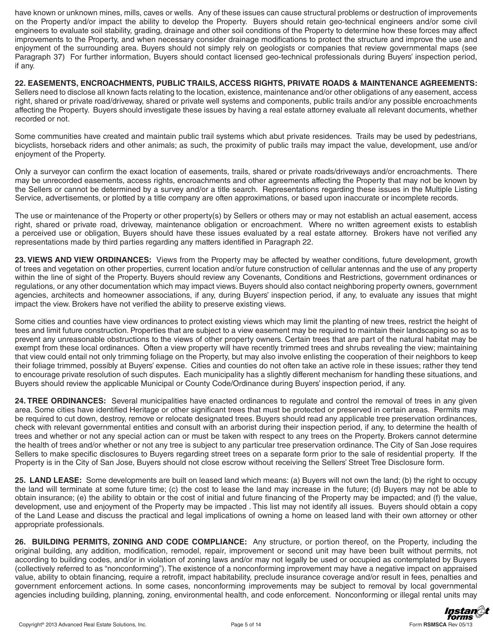have known or unknown mines, mills, caves or wells. Any of these issues can cause structural problems or destruction of improvements on the Property and/or impact the ability to develop the Property. Buyers should retain geo-technical engineers and/or some civil engineers to evaluate soil stability, grading, drainage and other soil conditions of the Property to determine how these forces may affect improvements to the Property, and when necessary consider drainage modifications to protect the structure and improve the use and enjoyment of the surrounding area. Buyers should not simply rely on geologists or companies that review governmental maps (see Paragraph 37) For further information, Buyers should contact licensed geo-technical professionals during Buyers' inspection period, if any.

**22. EASEMENTS, ENCROACHMENTS, PUBLIC TRAILS, ACCESS RIGHTS, PRIVATE ROADS & MAINTENANCE AGREEMENTS:**  Sellers need to disclose all known facts relating to the location, existence, maintenance and/or other obligations of any easement, access right, shared or private road/driveway, shared or private well systems and components, public trails and/or any possible encroachments affecting the Property. Buyers should investigate these issues by having a real estate attorney evaluate all relevant documents, whether recorded or not.

Some communities have created and maintain public trail systems which abut private residences. Trails may be used by pedestrians, bicyclists, horseback riders and other animals; as such, the proximity of public trails may impact the value, development, use and/or enjoyment of the Property.

Only a surveyor can confirm the exact location of easements, trails, shared or private roads/driveways and/or encroachments. There may be unrecorded easements, access rights, encroachments and other agreements affecting the Property that may not be known by the Sellers or cannot be determined by a survey and/or a title search. Representations regarding these issues in the Multiple Listing Service, advertisements, or plotted by a title company are often approximations, or based upon inaccurate or incomplete records.

The use or maintenance of the Property or other property(s) by Sellers or others may or may not establish an actual easement, access right, shared or private road, driveway, maintenance obligation or encroachment. Where no written agreement exists to establish a perceived use or obligation, Buyers should have these issues evaluated by a real estate attorney. Brokers have not verified any representations made by third parties regarding any matters identified in Paragraph 22.

**23. VIEWS AND VIEW ORDINANCES:** Views from the Property may be affected by weather conditions, future development, growth of trees and vegetation on other properties, current location and/or future construction of cellular antennas and the use of any property within the line of sight of the Property. Buyers should review any Covenants, Conditions and Restrictions, government ordinances or regulations, or any other documentation which may impact views. Buyers should also contact neighboring property owners, government agencies, architects and homeowner associations, if any, during Buyers' inspection period, if any, to evaluate any issues that might impact the view. Brokers have not verified the ability to preserve existing views.

Some cities and counties have view ordinances to protect existing views which may limit the planting of new trees, restrict the height of tees and limit future construction. Properties that are subject to a view easement may be required to maintain their landscaping so as to prevent any unreasonable obstructions to the views of other property owners. Certain trees that are part of the natural habitat may be exempt from these local ordinances. Often a view property will have recently trimmed trees and shrubs revealing the view; maintaining that view could entail not only trimming foliage on the Property, but may also involve enlisting the cooperation of their neighbors to keep their foliage trimmed, possibly at Buyers' expense. Cities and counties do not often take an active role in these issues; rather they tend to encourage private resolution of such disputes. Each municipality has a slightly different mechanism for handling these situations, and Buyers should review the applicable Municipal or County Code/Ordinance during Buyers' inspection period, if any.

**24. TREE ORDINANCES:** Several municipalities have enacted ordinances to regulate and control the removal of trees in any given area. Some cities have identified Heritage or other significant trees that must be protected or preserved in certain areas. Permits may be required to cut down, destroy, remove or relocate designated trees. Buyers should read any applicable tree preservation ordinances, check with relevant governmental entities and consult with an arborist during their inspection period, if any, to determine the health of trees and whether or not any special action can or must be taken with respect to any trees on the Property. Brokers cannot determine the health of trees and/or whether or not any tree is subject to any particular tree preservation ordinance. The City of San Jose requires Sellers to make specific disclosures to Buyers regarding street trees on a separate form prior to the sale of residential property. If the Property is in the City of San Jose, Buyers should not close escrow without receiving the Sellers' Street Tree Disclosure form.

25. LAND LEASE: Some developments are built on leased land which means: (a) Buyers will not own the land; (b) the right to occupy the land will terminate at some future time; (c) the cost to lease the land may increase in the future; (d) Buyers may not be able to obtain insurance; (e) the ability to obtain or the cost of initial and future financing of the Property may be impacted; and (f) the value, development, use and enjoyment of the Property may be impacted. This list may not identify all issues. Buyers should obtain a copy of the Land Lease and discuss the practical and legal implications of owning a home on leased land with their own attorney or other appropriate professionals.

**26. BUILDING PERMITS, ZONING AND CODE COMPLIANCE:** Any structure, or portion thereof, on the Property, including the original building, any addition, modification, remodel, repair, improvement or second unit may have been built without permits, not according to building codes, and/or in violation of zoning laws and/or may not legally be used or occupied as contemplated by Buyers (collectively referred to as "nonconforming"). The existence of a nonconforming improvement may have a negative impact on appraised value, ability to obtain financing, require a retrofit, impact habitability, preclude insurance coverage and/or result in fees, penalties and government enforcement actions. In some cases, nonconforming improvements may be subject to removal by local governmental agencies including building, planning, zoning, environmental health, and code enforcement. Nonconforming or illegal rental units may

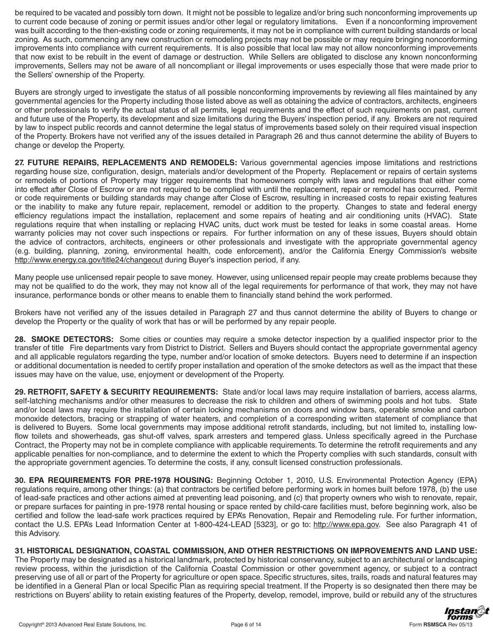be required to be vacated and possibly torn down. It might not be possible to legalize and/or bring such nonconforming improvements up to current code because of zoning or permit issues and/or other legal or regulatory limitations. Even if a nonconforming improvement was built according to the then-existing code or zoning requirements, it may not be in compliance with current building standards or local zoning. As such, commencing any new construction or remodeling projects may not be possible or may require bringing nonconforming improvements into compliance with current requirements. It is also possible that local law may not allow nonconforming improvements that now exist to be rebuilt in the event of damage or destruction. While Sellers are obligated to disclose any known nonconforming improvements, Sellers may not be aware of all noncompliant or illegal improvements or uses especially those that were made prior to the Sellers' ownership of the Property.

Buyers are strongly urged to investigate the status of all possible nonconforming improvements by reviewing all files maintained by any governmental agencies for the Property including those listed above as well as obtaining the advice of contractors, architects, engineers or other professionals to verify the actual status of all permits, legal requirements and the effect of such requirements on past, current and future use of the Property, its development and size limitations during the Buyers' inspection period, if any. Brokers are not required by law to inspect public records and cannot determine the legal status of improvements based solely on their required visual inspection of the Property. Brokers have not verified any of the issues detailed in Paragraph 26 and thus cannot determine the ability of Buyers to change or develop the Property.

**27. FUTURE REPAIRS, REPLACEMENTS AND REMODELS:** Various governmental agencies impose limitations and restrictions regarding house size, configuration, design, materials and/or development of the Property. Replacement or repairs of certain systems or remodels of portions of Property may trigger requirements that homeowners comply with laws and regulations that either come into effect after Close of Escrow or are not required to be complied with until the replacement, repair or remodel has occurred. Permit or code requirements or building standards may change after Close of Escrow, resulting in increased costs to repair existing features or the inability to make any future repair, replacement, remodel or addition to the property. Changes to state and federal energy efficiency regulations impact the installation, replacement and some repairs of heating and air conditioning units (HVAC). State regulations require that when installing or replacing HVAC units, duct work must be tested for leaks in some coastal areas. Home warranty policies may not cover such inspections or repairs. For further information on any of these issues, Buyers should obtain the advice of contractors, architects, engineers or other professionals and investigate with the appropriate governmental agency (e.g. building, planning, zoning, environmental health, code enforcement), and/or the California Energy Commission's website http://www.energy.ca.gov/title24/changeout during Buyer's inspection period, if any.

Many people use unlicensed repair people to save money. However, using unlicensed repair people may create problems because they may not be qualified to do the work, they may not know all of the legal requirements for performance of that work, they may not have insurance, performance bonds or other means to enable them to financially stand behind the work performed.

Brokers have not verified any of the issues detailed in Paragraph 27 and thus cannot determine the ability of Buyers to change or develop the Property or the quality of work that has or will be performed by any repair people.

**28. SMOKE DETECTORS:** Some cities or counties may require a smoke detector inspection by a qualified inspector prior to the transfer of title Fire departments vary from District to District. Sellers and Buyers should contact the appropriate governmental agency and all applicable regulators regarding the type, number and/or location of smoke detectors. Buyers need to determine if an inspection or additional documentation is needed to certify proper installation and operation of the smoke detectors as well as the impact that these issues may have on the value, use, enjoyment or development of the Property.

**29. RETROFIT, SAFETY & SECURITY REQUIREMENTS:** State and/or local laws may require installation of barriers, access alarms, self-latching mechanisms and/or other measures to decrease the risk to children and others of swimming pools and hot tubs. State and/or local laws may require the installation of certain locking mechanisms on doors and window bars, operable smoke and carbon monoxide detectors, bracing or strapping of water heaters, and completion of a corresponding written statement of compliance that is delivered to Buyers. Some local governments may impose additional retrofit standards, including, but not limited to, installing lowflow toilets and showerheads, gas shut-off valves, spark arresters and tempered glass. Unless specifically agreed in the Purchase Contract, the Property may not be in complete compliance with applicable requirements. To determine the retrofit requirements and any applicable penalties for non-compliance, and to determine the extent to which the Property complies with such standards, consult with the appropriate government agencies. To determine the costs, if any, consult licensed construction professionals.

30. EPA REQUIREMENTS FOR PRE-1978 HOUSING: Beginning October 1, 2010, U.S. Environmental Protection Agency (EPA) regulations require, among other things: (a) that contractors be certified before performing work in homes built before 1978, (b) the use of lead-safe practices and other actions aimed at preventing lead poisoning, and (c) that property owners who wish to renovate, repair, or prepare surfaces for painting in pre-1978 rental housing or space rented by child-care facilities must, before beginning work, also be certified and follow the lead-safe work practices required by EPA's Renovation, Repair and Remodeling rule. For further information, contact the U.S. EPA's Lead Information Center at 1-800-424-LEAD [5323], or go to: http://www.epa.gov. See also Paragraph 41 of this Advisory.

### **31. HISTORICAL DESIGNATION, COASTAL COMMISSION, AND OTHER RESTRICTIONS ON IMPROVEMENTS AND LAND USE:**  The Property may be designated as a historical landmark, protected by historical conservancy, subject to an architectural or landscaping

review process, within the jurisdiction of the California Coastal Commission or other government agency, or subject to a contract preserving use of all or part of the Property for agriculture or open space. Specific structures, sites, trails, roads and natural features may be identified in a General Plan or local Specific Plan as requiring special treatment. If the Property is so designated then there may be restrictions on Buyers' ability to retain existing features of the Property, develop, remodel, improve, build or rebuild any of the structures

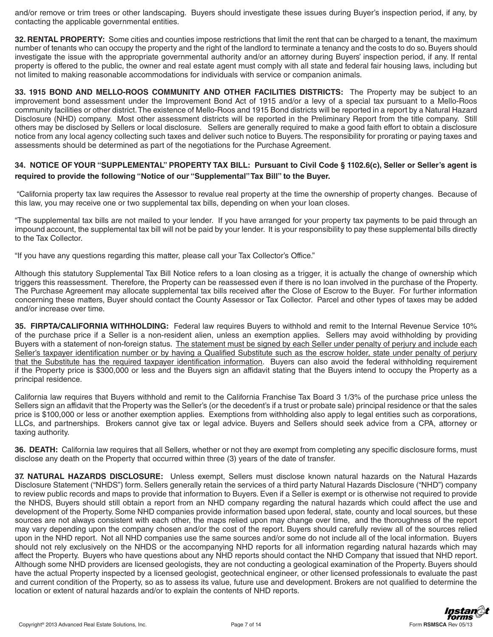and/or remove or trim trees or other landscaping. Buyers should investigate these issues during Buyer's inspection period, if any, by contacting the applicable governmental entities.

32. RENTAL PROPERTY: Some cities and counties impose restrictions that limit the rent that can be charged to a tenant, the maximum number of tenants who can occupy the property and the right of the landlord to terminate a tenancy and the costs to do so. Buyers should investigate the issue with the appropriate governmental authority and/or an attorney during Buyers' inspection period, if any. If rental property is offered to the public, the owner and real estate agent must comply with all state and federal fair housing laws, including but not limited to making reasonable accommodations for individuals with service or companion animals.

**33. 1915 BOND AND MELLO-ROOS COMMUNITY AND OTHER FACILITIES DISTRICTS:** The Property may be subject to an improvement bond assessment under the Improvement Bond Act of 1915 and/or a levy of a special tax pursuant to a Mello-Roos community facilities or other district. The existence of Mello-Roos and 1915 Bond districts will be reported in a report by a Natural Hazard Disclosure (NHD) company. Most other assessment districts will be reported in the Preliminary Report from the title company. Still others may be disclosed by Sellers or local disclosure. Sellers are generally required to make a good faith effort to obtain a disclosure notice from any local agency collecting such taxes and deliver such notice to Buyers. The responsibility for prorating or paying taxes and assessments should be determined as part of the negotiations for the Purchase Agreement.

## **34. NOTICE OF YOUR "SUPPLEMENTAL" PROPERTY TAX BILL: Pursuant to Civil Code § 1102.6(c), Seller or Seller's agent is required to provide the following "Notice of our "Supplemental" Tax Bill" to the Buyer.**

"California property tax law requires the Assessor to revalue real property at the time the ownership of property changes. Because of this law, you may receive one or two supplemental tax bills, depending on when your loan closes.

"The supplemental tax bills are not mailed to your lender. If you have arranged for your property tax payments to be paid through an impound account, the supplemental tax bill will not be paid by your lender. It is your responsibility to pay these supplemental bills directly to the Tax Collector.

"If you have any questions regarding this matter, please call your Tax Collector's Office."

Although this statutory Supplemental Tax Bill Notice refers to a loan closing as a trigger, it is actually the change of ownership which triggers this reassessment. Therefore, the Property can be reassessed even if there is no loan involved in the purchase of the Property. The Purchase Agreement may allocate supplemental tax bills received after the Close of Escrow to the Buyer. For further information concerning these matters, Buyer should contact the County Assessor or Tax Collector. Parcel and other types of taxes may be added and/or increase over time.

35. FIRPTA/CALIFORNIA WITHHOLDING: Federal law requires Buyers to withhold and remit to the Internal Revenue Service 10% of the purchase price if a Seller is a non-resident alien, unless an exemption applies. Sellers may avoid withholding by providing Buyers with a statement of non-foreign status. The statement must be signed by each Seller under penalty of perjury and include each Seller's taxpayer identification number or by having a Qualified Substitute such as the escrow holder, state under penalty of perjury that the Substitute has the required taxpayer identification information. Buyers can also avoid the federal withholding requirement if the Property price is \$300,000 or less and the Buyers sign an affidavit stating that the Buyers intend to occupy the Property as a principal residence.

California law requires that Buyers withhold and remit to the California Franchise Tax Board 3 1/3% of the purchase price unless the Sellers sign an affidavit that the Property was the Seller's (or the decedent's if a trust or probate sale) principal residence or that the sales price is \$100,000 or less or another exemption applies. Exemptions from withholding also apply to legal entities such as corporations, LLCs, and partnerships. Brokers cannot give tax or legal advice. Buyers and Sellers should seek advice from a CPA, attorney or taxing authority.

**36. DEATH:** California law requires that all Sellers, whether or not they are exempt from completing any specific disclosure forms, must disclose any death on the Property that occurred within three (3) years of the date of transfer.

37. NATURAL HAZARDS DISCLOSURE: Unless exempt, Sellers must disclose known natural hazards on the Natural Hazards Disclosure Statement ("NHDS") form. Sellers generally retain the services of a third party Natural Hazards Disclosure ("NHD") company to review public records and maps to provide that information to Buyers. Even if a Seller is exempt or is otherwise not required to provide the NHDS, Buyers should still obtain a report from an NHD company regarding the natural hazards which could affect the use and development of the Property. Some NHD companies provide information based upon federal, state, county and local sources, but these sources are not always consistent with each other, the maps relied upon may change over time, and the thoroughness of the report may vary depending upon the company chosen and/or the cost of the report. Buyers should carefully review all of the sources relied upon in the NHD report. Not all NHD companies use the same sources and/or some do not include all of the local information. Buyers should not rely exclusively on the NHDS or the accompanying NHD reports for all information regarding natural hazards which may affect the Property. Buyers who have questions about any NHD reports should contact the NHD Company that issued that NHD report. Although some NHD providers are licensed geologists, they are not conducting a geological examination of the Property. Buyers should have the actual Property inspected by a licensed geologist, geotechnical engineer, or other licensed professionals to evaluate the past and current condition of the Property, so as to assess its value, future use and development. Brokers are not qualified to determine the location or extent of natural hazards and/or to explain the contents of NHD reports.

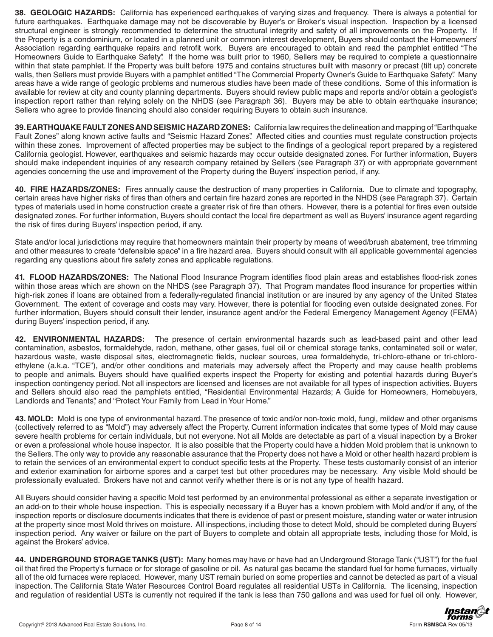**38. GEOLOGIC HAZARDS:** California has experienced earthquakes of varying sizes and frequency. There is always a potential for future earthquakes. Earthquake damage may not be discoverable by Buyer's or Broker's visual inspection. Inspection by a licensed structural engineer is strongly recommended to determine the structural integrity and safety of all improvements on the Property. If the Property is a condominium, or located in a planned unit or common interest development, Buyers should contact the Homeowners' Association regarding earthquake repairs and retrofit work. Buyers are encouraged to obtain and read the pamphlet entitled "The Homeowners Guide to Earthquake Safety". If the home was built prior to 1960, Sellers may be required to complete a questionnaire within that state pamphlet. If the Property was built before 1975 and contains structures built with masonry or precast (tilt up) concrete walls, then Sellers must provide Buyers with a pamphlet entitled "The Commercial Property Owner's Guide to Earthquake Safety". Many areas have a wide range of geologic problems and numerous studies have been made of these conditions. Some of this information is available for review at city and county planning departments. Buyers should review public maps and reports and/or obtain a geologist's inspection report rather than relying solely on the NHDS (see Paragraph 36). Buyers may be able to obtain earthquake insurance; Sellers who agree to provide financing should also consider requiring Buyers to obtain such insurance.

**39. EARTHQUAKE FAULT ZONES AND SEISMIC HAZARD ZONES:** California law requires the delineation and mapping of "Earthquake Fault Zones" along known active faults and "Seismic Hazard Zones". Affected cities and counties must regulate construction projects within these zones. Improvement of affected properties may be subject to the findings of a geological report prepared by a registered California geologist. However, earthquakes and seismic hazards may occur outside designated zones. For further information, Buyers should make independent inquiries of any research company retained by Sellers (see Paragraph 37) or with appropriate government agencies concerning the use and improvement of the Property during the Buyers' inspection period, if any.

**40. FIRE HAZARDS/ZONES:** Fires annually cause the destruction of many properties in California. Due to climate and topography, certain areas have higher risks of fires than others and certain fire hazard zones are reported in the NHDS (see Paragraph 37). Certain types of materials used in home construction create a greater risk of fire than others. However, there is a potential for fires even outside designated zones. For further information, Buyers should contact the local fire department as well as Buyers' insurance agent regarding the risk of fires during Buyers' inspection period, if any.

State and/or local jurisdictions may require that homeowners maintain their property by means of weed/brush abatement, tree trimming and other measures to create "defensible space" in a fire hazard area. Buyers should consult with all applicable governmental agencies regarding any questions about fire safety zones and applicable regulations.

41. FLOOD HAZARDS/ZONES: The National Flood Insurance Program identifies flood plain areas and establishes flood-risk zones within those areas which are shown on the NHDS (see Paragraph 37). That Program mandates flood insurance for properties within high-risk zones if loans are obtained from a federally-regulated financial institution or are insured by any agency of the United States Government. The extent of coverage and costs may vary. However, there is potential for flooding even outside designated zones. For further information, Buyers should consult their lender, insurance agent and/or the Federal Emergency Management Agency (FEMA) during Buyers' inspection period, if any.

**42. ENVIRONMENTAL HAZARDS:** The presence of certain environmental hazards such as lead-based paint and other lead contamination, asbestos, formaldehyde, radon, methane, other gases, fuel oil or chemical storage tanks, contaminated soil or water, hazardous waste, waste disposal sites, electromagnetic fields, nuclear sources, urea formaldehyde, tri-chloro-ethane or tri-chloroethylene (a.k.a. "TCE"), and/or other conditions and materials may adversely affect the Property and may cause health problems to people and animals. Buyers should have qualified experts inspect the Property for existing and potential hazards during Buyer's inspection contingency period. Not all inspectors are licensed and licenses are not available for all types of inspection activities. Buyers and Sellers should also read the pamphlets entitled, "Residential Environmental Hazards; A Guide for Homeowners, Homebuyers, Landlords and Tenants", and "Protect Your Family from Lead in Your Home."

43. MOLD: Mold is one type of environmental hazard. The presence of toxic and/or non-toxic mold, fungi, mildew and other organisms (collectively referred to as "Mold") may adversely affect the Property. Current information indicates that some types of Mold may cause severe health problems for certain individuals, but not everyone. Not all Molds are detectable as part of a visual inspection by a Broker or even a professional whole house inspector. It is also possible that the Property could have a hidden Mold problem that is unknown to the Sellers. The only way to provide any reasonable assurance that the Property does not have a Mold or other health hazard problem is to retain the services of an environmental expert to conduct specific tests at the Property. These tests customarily consist of an interior and exterior examination for airborne spores and a carpet test but other procedures may be necessary. Any visible Mold should be professionally evaluated. Brokers have not and cannot verify whether there is or is not any type of health hazard.

All Buyers should consider having a specific Mold test performed by an environmental professional as either a separate investigation or an add-on to their whole house inspection. This is especially necessary if a Buyer has a known problem with Mold and/or if any, of the inspection reports or disclosure documents indicates that there is evidence of past or present moisture, standing water or water intrusion at the property since most Mold thrives on moisture. All inspections, including those to detect Mold, should be completed during Buyers' inspection period. Any waiver or failure on the part of Buyers to complete and obtain all appropriate tests, including those for Mold, is against the Brokers' advice.

44. UNDERGROUND STORAGE TANKS (UST): Many homes may have or have had an Underground Storage Tank ("UST") for the fuel oil that fired the Property's furnace or for storage of gasoline or oil. As natural gas became the standard fuel for home furnaces, virtually all of the old furnaces were replaced. However, many UST remain buried on some properties and cannot be detected as part of a visual inspection. The California State Water Resources Control Board regulates all residential USTs in California. The licensing, inspection and regulation of residential USTs is currently not required if the tank is less than 750 gallons and was used for fuel oil only. However,

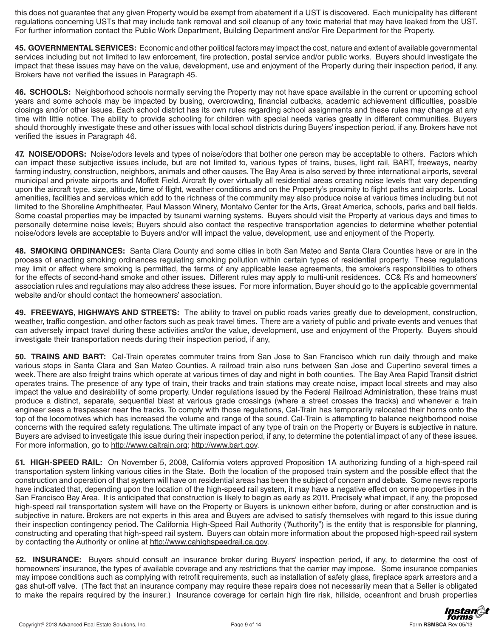this does not guarantee that any given Property would be exempt from abatement if a UST is discovered. Each municipality has different regulations concerning USTs that may include tank removal and soil cleanup of any toxic material that may have leaked from the UST. For further information contact the Public Work Department, Building Department and/or Fire Department for the Property.

45. GOVERNMENTAL SERVICES: Economic and other political factors may impact the cost, nature and extent of available governmental services including but not limited to law enforcement, fire protection, postal service and/or public works. Buyers should investigate the impact that these issues may have on the value, development, use and enjoyment of the Property during their inspection period, if any. Brokers have not verified the issues in Paragraph 45.

46. SCHOOLS: Neighborhood schools normally serving the Property may not have space available in the current or upcoming school years and some schools may be impacted by busing, overcrowding, financial cutbacks, academic achievement difficulties, possible closings and/or other issues. Each school district has its own rules regarding school assignments and these rules may change at any time with little notice. The ability to provide schooling for children with special needs varies greatly in different communities. Buyers should thoroughly investigate these and other issues with local school districts during Buyers' inspection period, if any. Brokers have not verified the issues in Paragraph 46.

47. NOISE/ODORS: Noise/odors levels and types of noise/odors that bother one person may be acceptable to others. Factors which can impact these subjective issues include, but are not limited to, various types of trains, buses, light rail, BART, freeways, nearby farming industry, construction, neighbors, animals and other causes. The Bay Area is also served by three international airports, several municipal and private airports and Moffett Field. Aircraft fly over virtually all residential areas creating noise levels that vary depending upon the aircraft type, size, altitude, time of flight, weather conditions and on the Property's proximity to flight paths and airports. Local amenities, facilities and services which add to the richness of the community may also produce noise at various times including but not limited to the Shoreline Amphitheater, Paul Masson Winery, Montalvo Center for the Arts, Great America, schools, parks and ball fields. Some coastal properties may be impacted by tsunami warning systems. Buyers should visit the Property at various days and times to personally determine noise levels; Buyers should also contact the respective transportation agencies to determine whether potential noise/odors levels are acceptable to Buyers and/or will impact the value, development, use and enjoyment of the Property.

**48. SMOKING ORDINANCES:** Santa Clara County and some cities in both San Mateo and Santa Clara Counties have or are in the process of enacting smoking ordinances regulating smoking pollution within certain types of residential property. These regulations may limit or affect where smoking is permitted, the terms of any applicable lease agreements, the smoker's responsibilities to others for the effects of second-hand smoke and other issues. Different rules may apply to multi-unit residences. CC& R's and homeowners' association rules and regulations may also address these issues. For more information, Buyer should go to the applicable governmental website and/or should contact the homeowners' association.

**49. FREEWAYS, HIGHWAYS AND STREETS:** The ability to travel on public roads varies greatly due to development, construction, weather, traffic congestion, and other factors such as peak travel times. There are a variety of public and private events and venues that can adversely impact travel during these activities and/or the value, development, use and enjoyment of the Property. Buyers should investigate their transportation needs during their inspection period, if any,

**50. TRAINS AND BART:** Cal-Train operates commuter trains from San Jose to San Francisco which run daily through and make various stops in Santa Clara and San Mateo Counties. A railroad train also runs between San Jose and Cupertino several times a week. There are also freight trains which operate at various times of day and night in both counties. The Bay Area Rapid Transit district operates trains. The presence of any type of train, their tracks and train stations may create noise, impact local streets and may also impact the value and desirability of some property. Under regulations issued by the Federal Railroad Administration, these trains must produce a distinct, separate, sequential blast at various grade crossings (where a street crosses the tracks) and whenever a train engineer sees a trespasser near the tracks. To comply with those regulations, Cal-Train has temporarily relocated their horns onto the top of the locomotives which has increased the volume and range of the sound. Cal-Train is attempting to balance neighborhood noise concerns with the required safety regulations. The ultimate impact of any type of train on the Property or Buyers is subjective in nature. Buyers are advised to investigate this issue during their inspection period, if any, to determine the potential impact of any of these issues. For more information, go to http://www.caltrain.org; http://www.bart.gov.

**51. HIGH-SPEED RAIL:** On November 5, 2008, California voters approved Proposition 1A authorizing funding of a high-speed rail transportation system linking various cities in the State. Both the location of the proposed train system and the possible effect that the construction and operation of that system will have on residential areas has been the subject of concern and debate. Some news reports have indicated that, depending upon the location of the high-speed rail system, it may have a negative effect on some properties in the San Francisco Bay Area. It is anticipated that construction is likely to begin as early as 2011. Precisely what impact, if any, the proposed high-speed rail transportation system will have on the Property or Buyers is unknown either before, during or after construction and is subjective in nature. Brokers are not experts in this area and Buyers are advised to satisfy themselves with regard to this issue during their inspection contingency period. The California High-Speed Rail Authority ("Authority") is the entity that is responsible for planning, constructing and operating that high-speed rail system. Buyers can obtain more information about the proposed high-speed rail system by contacting the Authority or online at http://www.cahighspeedrail.ca.gov.

**52. INSURANCE:** Buyers should consult an insurance broker during Buyers' inspection period, if any, to determine the cost of homeowners' insurance, the types of available coverage and any restrictions that the carrier may impose. Some insurance companies may impose conditions such as complying with retrofit requirements, such as installation of safety glass, fireplace spark arrestors and a gas shut-off valve. (The fact that an insurance company may require these repairs does not necessarily mean that a Seller is obligated to make the repairs required by the insurer.) Insurance coverage for certain high fire risk, hillside, oceanfront and brush properties

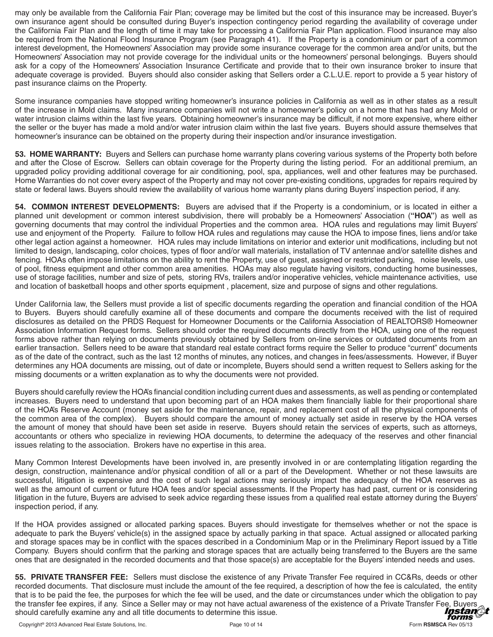may only be available from the California Fair Plan; coverage may be limited but the cost of this insurance may be increased. Buyer's own insurance agent should be consulted during Buyer's inspection contingency period regarding the availability of coverage under the California Fair Plan and the length of time it may take for processing a California Fair Plan application. Flood insurance may also be required from the National Flood Insurance Program (see Paragraph 41). If the Property is a condominium or part of a common interest development, the Homeowners' Association may provide some insurance coverage for the common area and/or units, but the Homeowners' Association may not provide coverage for the individual units or the homeowners' personal belongings. Buyers should ask for a copy of the Homeowners' Association Insurance Certificate and provide that to their own insurance broker to insure that adequate coverage is provided. Buyers should also consider asking that Sellers order a C.L.U.E. report to provide a 5 year history of past insurance claims on the Property.

Some insurance companies have stopped writing homeowner's insurance policies in California as well as in other states as a result of the increase in Mold claims. Many insurance companies will not write a homeowner's policy on a home that has had any Mold or water intrusion claims within the last five years. Obtaining homeowner's insurance may be difficult, if not more expensive, where either the seller or the buyer has made a mold and/or water intrusion claim within the last five years. Buyers should assure themselves that homeowner's insurance can be obtained on the property during their inspection and/or insurance investigation.

53. HOME WARRANTY: Buyers and Sellers can purchase home warranty plans covering various systems of the Property both before and after the Close of Escrow. Sellers can obtain coverage for the Property during the listing period. For an additional premium, an upgraded policy providing additional coverage for air conditioning, pool, spa, appliances, well and other features may be purchased. Home Warranties do not cover every aspect of the Property and may not cover pre-existing conditions, upgrades for repairs required by state or federal laws. Buyers should review the availability of various home warranty plans during Buyers' inspection period, if any.

54. COMMON INTEREST DEVELOPMENTS: Buyers are advised that if the Property is a condominium, or is located in either a planned unit development or common interest subdivision, there will probably be a Homeowners' Association ("HOA") as well as governing documents that may control the individual Properties and the common area. HOA rules and regulations may limit Buyers' use and enjoyment of the Property. Failure to follow HOA rules and regulations may cause the HOA to impose fines, liens and/or take other legal action against a homeowner. HOA rules may include limitations on interior and exterior unit modifications, including but not limited to design, landscaping, color choices, types of floor and/or wall materials, installation of TV antennae and/or satellite dishes and fencing. HOAs often impose limitations on the ability to rent the Property, use of guest, assigned or restricted parking, noise levels, use of pool, fitness equipment and other common area amenities. HOAs may also regulate having visitors, conducting home businesses, use of storage facilities, number and size of pets, storing RVs, trailers and/or inoperative vehicles, vehicle maintenance activities, use and location of basketball hoops and other sports equipment, placement, size and purpose of signs and other regulations.

Under California law, the Sellers must provide a list of specific documents regarding the operation and financial condition of the HOA to Buyers. Buyers should carefully examine all of these documents and compare the documents received with the list of required disclosures as detailed on the PRDS Request for Homeowner Documents or the California Association of REALTORS® Homeowner Association Information Request forms. Sellers should order the required documents directly from the HOA, using one of the request forms above rather than relying on documents previously obtained by Sellers from on-line services or outdated documents from an earlier transaction. Sellers need to be aware that standard real estate contract forms require the Seller to produce "current" documents as of the date of the contract, such as the last 12 months of minutes, any notices, and changes in fees/assessments. However, if Buyer determines any HOA documents are missing, out of date or incomplete, Buyers should send a written request to Sellers asking for the missing documents or a written explanation as to why the documents were not provided.

Buyers should carefully review the HOA's financial condition including current dues and assessments, as well as pending or contemplated increases. Buyers need to understand that upon becoming part of an HOA makes them financially liable for their proportional share of the HOA's Reserve Account (money set aside for the maintenance, repair, and replacement cost of all the physical components of the common area of the complex). Buyers should compare the amount of money actually set aside in reserve by the HOA verses the amount of money that should have been set aside in reserve. Buyers should retain the services of experts, such as attorneys, accountants or others who specialize in reviewing HOA documents, to determine the adequacy of the reserves and other financial issues relating to the association. Brokers have no expertise in this area.

Many Common Interest Developments have been involved in, are presently involved in or are contemplating litigation regarding the design, construction, maintenance and/or physical condition of all or a part of the Development. Whether or not these lawsuits are successful, litigation is expensive and the cost of such legal actions may seriously impact the adequacy of the HOA reserves as well as the amount of current or future HOA fees and/or special assessments. If the Property has had past, current or is considering litigation in the future, Buyers are advised to seek advice regarding these issues from a qualified real estate attorney during the Buyers' inspection period, if any.

If the HOA provides assigned or allocated parking spaces. Buyers should investigate for themselves whether or not the space is adequate to park the Buyers' vehicle(s) in the assigned space by actually parking in that space. Actual assigned or allocated parking and storage spaces may be in conflict with the spaces described in a Condominium Map or in the Preliminary Report issued by a Title Company. Buyers should confirm that the parking and storage spaces that are actually being transferred to the Buyers are the same ones that are designated in the recorded documents and that those space(s) are acceptable for the Buyers' intended needs and uses.

55. PRIVATE TRANSFER FEE: Sellers must disclose the existence of any Private Transfer Fee required in CC&Rs, deeds or other recorded documents. That disclosure must include the amount of the fee required, a description of how the fee is calculated, the entity that is to be paid the fee, the purposes for which the fee will be used, and the date or circumstances under which the obligation to pay the transfer fee expires, if any. Since a Seller may or may not have actual awareness of the existence of a Private Transfer Fee, Buyers *Instang* should carefully examine any and all title documents to determine this issue. forms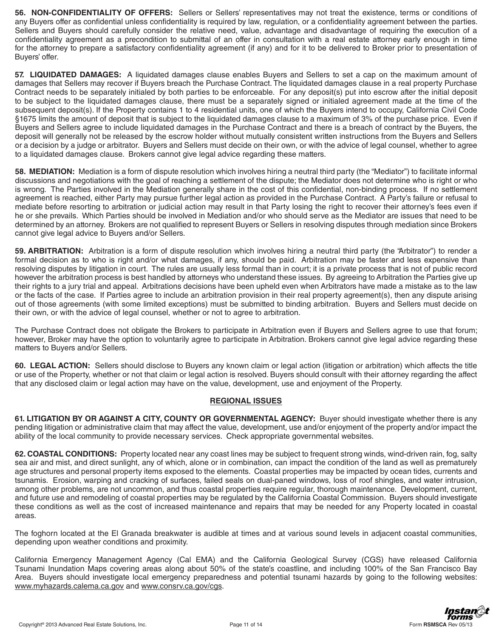56. NON-CONFIDENTIALITY OF OFFERS: Sellers or Sellers' representatives may not treat the existence, terms or conditions of any Buyers offer as confidential unless confidentiality is required by law, regulation, or a confidentiality agreement between the parties. Sellers and Buyers should carefully consider the relative need, value, advantage and disadvantage of requiring the execution of a confidentiality agreement as a precondition to submittal of an offer in consultation with a real estate attorney early enough in time for the attorney to prepare a satisfactory confidentiality agreement (if any) and for it to be delivered to Broker prior to presentation of Buyers' offer.

57. LIQUIDATED DAMAGES: A liquidated damages clause enables Buyers and Sellers to set a cap on the maximum amount of damages that Sellers may recover if Buyers breach the Purchase Contract. The liquidated damages clause in a real property Purchase Contract needs to be separately initialed by both parties to be enforceable. For any deposit(s) put into escrow after the initial deposit to be subject to the liquidated damages clause, there must be a separately signed or initialed agreement made at the time of the subsequent deposit(s). If the Property contains 1 to 4 residential units, one of which the Buyers intend to occupy, California Civil Code §1675 limits the amount of deposit that is subject to the liquidated damages clause to a maximum of 3% of the purchase price. Even if Buyers and Sellers agree to include liquidated damages in the Purchase Contract and there is a breach of contract by the Buyers, the deposit will generally not be released by the escrow holder without mutually consistent written instructions from the Buyers and Sellers or a decision by a judge or arbitrator. Buyers and Sellers must decide on their own, or with the advice of legal counsel, whether to agree to a liquidated damages clause. Brokers cannot give legal advice regarding these matters.

58. MEDIATION: Mediation is a form of dispute resolution which involves hiring a neutral third party (the "Mediator") to facilitate informal discussions and negotiations with the goal of reaching a settlement of the dispute; the Mediator does not determine who is right or who is wrong. The Parties involved in the Mediation generally share in the cost of this confidential, non-binding process. If no settlement agreement is reached, either Party may pursue further legal action as provided in the Purchase Contract. A Party's failure or refusal to mediate before resorting to arbitration or judicial action may result in that Party losing the right to recover their attorney's fees even if he or she prevails. Which Parties should be involved in Mediation and/or who should serve as the Mediator are issues that need to be determined by an attorney. Brokers are not qualified to represent Buyers or Sellers in resolving disputes through mediation since Brokers cannot give legal advice to Buyers and/or Sellers.

59. ARBITRATION: Arbitration is a form of dispute resolution which involves hiring a neutral third party (the "Arbitrator") to render a formal decision as to who is right and/or what damages, if any, should be paid. Arbitration may be faster and less expensive than resolving disputes by litigation in court. The rules are usually less formal than in court; it is a private process that is not of public record however the arbitration process is best handled by attorneys who understand these issues. By agreeing to Arbitration the Parties give up their rights to a jury trial and appeal. Arbitrations decisions have been upheld even when Arbitrators have made a mistake as to the law or the facts of the case. If Parties agree to include an arbitration provision in their real property agreement(s), then any dispute arising out of those agreements (with some limited exceptions) must be submitted to binding arbitration. Buyers and Sellers must decide on their own, or with the advice of legal counsel, whether or not to agree to arbitration.

The Purchase Contract does not obligate the Brokers to participate in Arbitration even if Buyers and Sellers agree to use that forum; however, Broker may have the option to voluntarily agree to participate in Arbitration. Brokers cannot give legal advice regarding these matters to Buyers and/or Sellers.

60. LEGAL ACTION: Sellers should disclose to Buyers any known claim or legal action (litigation or arbitration) which affects the title or use of the Property, whether or not that claim or legal action is resolved. Buyers should consult with their attorney regarding the affect that any disclosed claim or legal action may have on the value, development, use and enjoyment of the Property.

## **REGIONAL ISSUES**

61. LITIGATION BY OR AGAINST A CITY, COUNTY OR GOVERNMENTAL AGENCY: Buyer should investigate whether there is any pending litigation or administrative claim that may affect the value, development, use and/or enjoyment of the property and/or impact the ability of the local community to provide necessary services. Check appropriate governmental websites.

62. COASTAL CONDITIONS: Property located near any coast lines may be subject to frequent strong winds, wind-driven rain, fog, salty sea air and mist, and direct sunlight, any of which, alone or in combination, can impact the condition of the land as well as prematurely age structures and personal property items exposed to the elements. Coastal properties may be impacted by ocean tides, currents and tsunamis. Erosion, warping and cracking of surfaces, failed seals on dual-paned windows, loss of roof shingles, and water intrusion, among other problems, are not uncommon, and thus coastal properties require regular, thorough maintenance. Development, current, and future use and remodeling of coastal properties may be regulated by the California Coastal Commission. Buyers should investigate these conditions as well as the cost of increased maintenance and repairs that may be needed for any Property located in coastal areas.

The foghorn located at the EI Granada breakwater is audible at times and at various sound levels in adjacent coastal communities, depending upon weather conditions and proximity.

California Emergency Management Agency (Cal EMA) and the California Geological Survey (CGS) have released California Tsunami Inundation Maps covering areas along about 50% of the state's coastline, and including 100% of the San Francisco Bay Area. Buyers should investigate local emergency preparedness and potential tsunami hazards by going to the following websites: www.myhazards.calema.ca.gov and www.consrv.ca.gov/cgs.

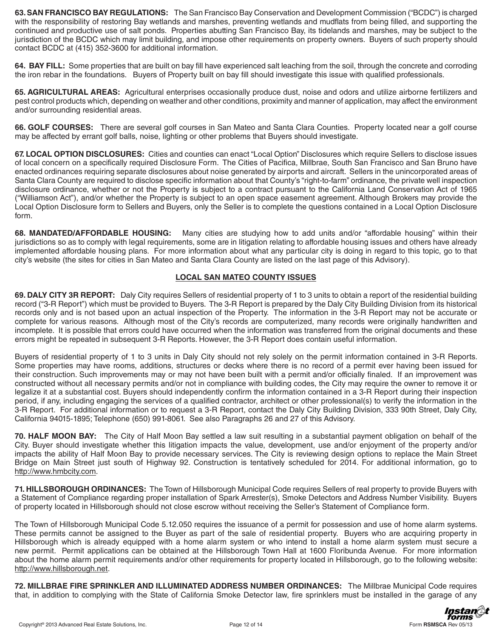63. SAN FRANCISCO BAY REGULATIONS: The San Francisco Bay Conservation and Development Commission ("BCDC") is charged with the responsibility of restoring Bay wetlands and marshes, preventing wetlands and mudflats from being filled, and supporting the continued and productive use of salt ponds. Properties abutting San Francisco Bay, its tidelands and marshes, may be subject to the jurisdiction of the BCDC which may limit building, and impose other requirements on property owners. Buyers of such property should contact BCDC at (415) 352-3600 for additional information.

64. BAY FILL: Some properties that are built on bay fill have experienced salt leaching from the soil, through the concrete and corroding the iron rebar in the foundations. Buyers of Property built on bay fill should investigate this issue with qualified professionals.

65. AGRICULTURAL AREAS: Agricultural enterprises occasionally produce dust, noise and odors and utilize airborne fertilizers and pest control products which, depending on weather and other conditions, proximity and manner of application, may affect the environment and/or surrounding residential areas.

66. GOLF COURSES: There are several golf courses in San Mateo and Santa Clara Counties. Property located near a golf course may be affected by errant golf balls, noise, lighting or other problems that Buyers should investigate.

67. LOCAL OPTION DISCLOSURES: Cities and counties can enact "Local Option" Disclosures which require Sellers to disclose issues of local concern on a specifically required Disclosure Form. The Cities of Pacifica, Millbrae, South San Francisco and San Bruno have enacted ordinances requiring separate disclosures about noise generated by airports and aircraft. Sellers in the unincorporated areas of Santa Clara County are required to disclose specific information about that County's "right-to-farm" ordinance, the private well inspection disclosure ordinance, whether or not the Property is subject to a contract pursuant to the California Land Conservation Act of 1965 ("Williamson Act"), and/or whether the Property is subject to an open space easement agreement. Although Brokers may provide the Local Option Disclosure form to Sellers and Buyers, only the Seller is to complete the questions contained in a Local Option Disclosure form.

68. MANDATED/AFFORDABLE HOUSING: Many cities are studying how to add units and/or "affordable housing" within their jurisdictions so as to comply with legal requirements, some are in litigation relating to affordable housing issues and others have already implemented affordable housing plans. For more information about what any particular city is doing in regard to this topic, go to that city's website (the sites for cities in San Mateo and Santa Clara County are listed on the last page of this Advisory).

## **LOCAL SAN MATEO COUNTY ISSUES**

69. DALY CITY 3R REPORT: Daly City requires Sellers of residential property of 1 to 3 units to obtain a report of the residential building record ("3-R Report") which must be provided to Buyers. The 3-R Report is prepared by the Daly City Building Division from its historical records only and is not based upon an actual inspection of the Property. The information in the 3-R Report may not be accurate or complete for various reasons. Although most of the City's records are computerized, many records were originally handwritten and incomplete. It is possible that errors could have occurred when the information was transferred from the original documents and these errors might be repeated in subsequent 3-R Reports. However, the 3-R Report does contain useful information.

Buyers of residential property of 1 to 3 units in Daly City should not rely solely on the permit information contained in 3-R Reports. Some properties may have rooms, additions, structures or decks where there is no record of a permit ever having been issued for their construction. Such improvements may or may not have been built with a permit and/or officially finaled. If an improvement was constructed without all necessary permits and/or not in compliance with building codes, the City may require the owner to remove it or legalize it at a substantial cost. Buyers should independently confirm the information contained in a 3-R Report during their inspection period, if any, including engaging the services of a qualified contractor, architect or other professional(s) to verify the information in the 3-R Report. For additional information or to request a 3-R Report, contact the Daly City Building Division, 333 90th Street, Daly City, California 94015-1895; Telephone (650) 991-8061. See also Paragraphs 26 and 27 of this Advisory.

70. HALF MOON BAY: The City of Half Moon Bay settled a law suit resulting in a substantial payment obligation on behalf of the City. Buyer should investigate whether this litigation impacts the value, development, use and/or enjoyment of the property and/or impacts the ability of Half Moon Bay to provide necessary services. The City is reviewing design options to replace the Main Street Bridge on Main Street just south of Highway 92. Construction is tentatively scheduled for 2014. For additional information, go to http://www.hmbcity.com.

71. HILLSBOROUGH ORDINANCES: The Town of Hillsborough Municipal Code requires Sellers of real property to provide Buyers with a Statement of Compliance regarding proper installation of Spark Arrester(s), Smoke Detectors and Address Number Visibility. Buyers of property located in Hillsborough should not close escrow without receiving the Seller's Statement of Compliance form.

The Town of Hillsborough Municipal Code 5.12.050 requires the issuance of a permit for possession and use of home alarm systems. These permits cannot be assigned to the Buyer as part of the sale of residential property. Buyers who are acquiring property in Hillsborough which is already equipped with a home alarm system or who intend to install a home alarm system must secure a new permit. Permit applications can be obtained at the Hillsborough Town Hall at 1600 Floribunda Avenue. For more information about the home alarm permit requirements and/or other requirements for property located in Hillsborough, go to the following website: http://www.hillsborough.net.

72. MILLBRAE FIRE SPRINKLER AND ILLUMINATED ADDRESS NUMBER ORDINANCES: The Millbrae Municipal Code requires that, in addition to complying with the State of California Smoke Detector law, fire sprinklers must be installed in the garage of any

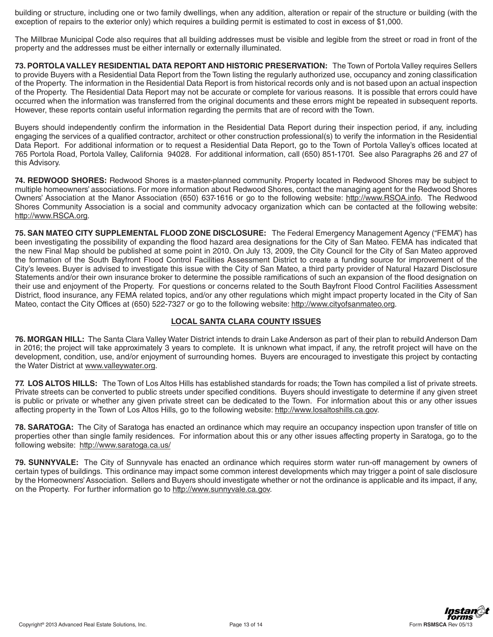building or structure, including one or two family dwellings, when any addition, alteration or repair of the structure or building (with the exception of repairs to the exterior only) which requires a building permit is estimated to cost in excess of \$1,000.

The Millbrae Municipal Code also requires that all building addresses must be visible and legible from the street or road in front of the property and the addresses must be either internally or externally illuminated.

**73. PORTOLA VALLEY RESIDENTIAL DATA REPORT AND HISTORIC PRESERVATION:** The Town of Portola Valley requires Sellers to provide Buyers with a Residential Data Report from the Town listing the regularly authorized use, occupancy and zoning classification of the Property. The information in the Residential Data Report is from historical records only and is not based upon an actual inspection of the Property. The Residential Data Report may not be accurate or complete for various reasons. It is possible that errors could have occurred when the information was transferred from the original documents and these errors might be repeated in subsequent reports. However, these reports contain useful information regarding the permits that are of record with the Town.

Buyers should independently confirm the information in the Residential Data Report during their inspection period, if any, including engaging the services of a qualified contractor, architect or other construction professional(s) to verify the information in the Residential Data Report. For additional information or to request a Residential Data Report, go to the Town of Portola Valley's offices located at 765 Portola Road, Portola Valley, California 94028. For additional information, call (650) 851-1701. See also Paragraphs 26 and 27 of this Advisory.

74. REDWOOD SHORES: Redwood Shores is a master-planned community. Property located in Redwood Shores may be subject to multiple homeowners' associations. For more information about Redwood Shores, contact the managing agent for the Redwood Shores Owners' Association at the Manor Association (650) 637-1616 or go to the following website: http://www.RSOA.info. The Redwood Shores Community Association is a social and community advocacy organization which can be contacted at the following website: http://www.RSCA.org.

75. SAN MATEO CITY SUPPLEMENTAL FLOOD ZONE DISCLOSURE: The Federal Emergency Management Agency ("FEMA") has been investigating the possibility of expanding the flood hazard area designations for the City of San Mateo. FEMA has indicated that the new Final Map should be published at some point in 2010. On July 13, 2009, the City Council for the City of San Mateo approved the formation of the South Bayfront Flood Control Facilities Assessment District to create a funding source for improvement of the City's levees. Buyer is advised to investigate this issue with the City of San Mateo, a third party provider of Natural Hazard Disclosure Statements and/or their own insurance broker to determine the possible ramifications of such an expansion of the flood designation on their use and enjoyment of the Property. For questions or concerns related to the South Bayfront Flood Control Facilities Assessment District, flood insurance, any FEMA related topics, and/or any other regulations which might impact property located in the City of San Mateo, contact the City Offices at (650) 522-7327 or go to the following website: http://www.cityofsanmateo.org.

## **LOCAL SANTA CLARA COUNTY ISSUES**

**76. MORGAN HILL:** The Santa Clara Valley Water District intends to drain Lake Anderson as part of their plan to rebuild Anderson Dam in 2016; the project will take approximately 3 years to complete. It is unknown what impact, if any, the retrofit project will have on the development, condition, use, and/or enjoyment of surrounding homes. Buyers are encouraged to investigate this project by contacting the Water District at www.valleywater.org.

**77. LOS ALTOS HILLS:** The Town of Los Altos Hills has established standards for roads; the Town has compiled a list of private streets. Private streets can be converted to public streets under specified conditions. Buyers should investigate to determine if any given street is public or private or whether any given private street can be dedicated to the Town. For information about this or any other issues affecting property in the Town of Los Altos Hills, go to the following website: http://www.losaltoshills.ca.gov.

**78. SARATOGA:** The City of Saratoga has enacted an ordinance which may require an occupancy inspection upon transfer of title on properties other than single family residences. For information about this or any other issues affecting property in Saratoga, go to the following website: http://www.saratoga.ca.us/

**79. SUNNYVALE:** The City of Sunnyvale has enacted an ordinance which requires storm water run-off management by owners of certain types of buildings. This ordinance may impact some common interest developments which may trigger a point of sale disclosure by the Homeowners' Association. Sellers and Buyers should investigate whether or not the ordinance is applicable and its impact, if any, on the Property. For further information go to http://www.sunnyvale.ca.gov.